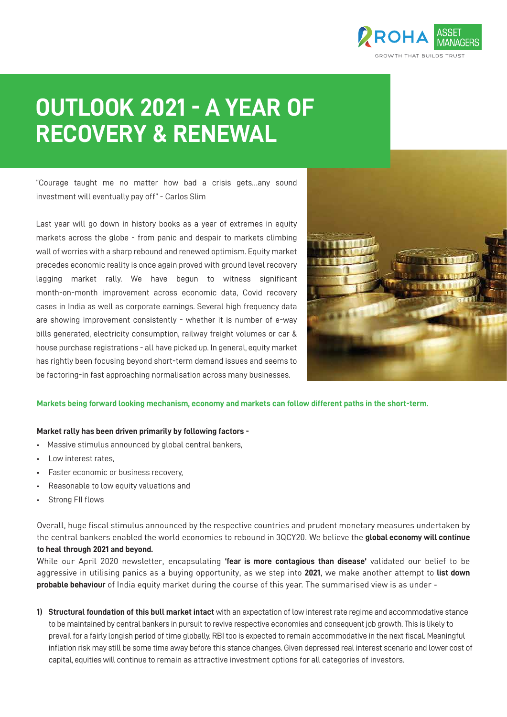

# **OUTLOOK 2021 - A YEAR OF RECOVERY & RENEWAL**

"Courage taught me no matter how bad a crisis gets…any sound investment will eventually pay off" - Carlos Slim

Last year will go down in history books as a year of extremes in equity markets across the globe - from panic and despair to markets climbing wall of worries with a sharp rebound and renewed optimism. Equity market precedes economic reality is once again proved with ground level recovery lagging market rally. We have begun to witness significant month-on-month improvement across economic data, Covid recovery cases in India as well as corporate earnings. Several high frequency data are showing improvement consistently - whether it is number of e-way bills generated, electricity consumption, railway freight volumes or car & house purchase registrations - all have picked up. In general, equity market has rightly been focusing beyond short-term demand issues and seems to be factoring-in fast approaching normalisation across many businesses.



#### **Markets being forward looking mechanism, economy and markets can follow different paths in the short-term.**

#### **Market rally has been driven primarily by following factors -**

- Massive stimulus announced by global central bankers,
- Low interest rates,
- Faster economic or business recovery,
- Reasonable to low equity valuations and
- Strong FII flows

Overall, huge fiscal stimulus announced by the respective countries and prudent monetary measures undertaken by the central bankers enabled the world economies to rebound in 3QCY20. We believe the **global economy will continue to heal through 2021 and beyond.** 

While our April 2020 newsletter, encapsulating **'fear is more contagious than disease'** validated our belief to be aggressive in utilising panics as a buying opportunity, as we step into **2021**, we make another attempt to **list down probable behaviour** of India equity market during the course of this year. The summarised view is as under -

**1) Structural foundation of this bull market intact** with an expectation of low interest rate regime and accommodative stance to be maintained by central bankers in pursuit to revive respective economies and consequent job growth. This is likely to prevail for a fairly longish period of time globally. RBI too is expected to remain accommodative in the next fiscal. Meaningful inflation risk may still be some time away before this stance changes. Given depressed real interest scenario and lower cost of capital, equities will continue to remain as attractive investment options for all categories of investors.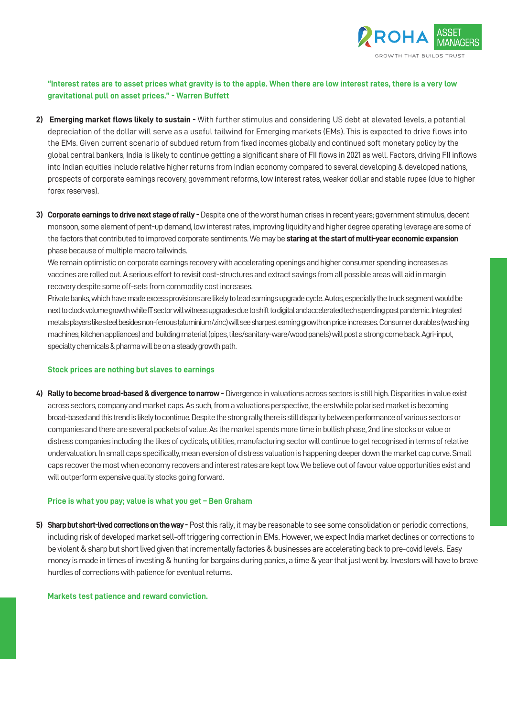

# **"Interest rates are to asset prices what gravity is to the apple. When there are low interest rates, there is a very low gravitational pull on asset prices." - Warren Buffett**

- **2) Emerging market flows likely to sustain -** With further stimulus and considering US debt at elevated levels, a potential depreciation of the dollar will serve as a useful tailwind for Emerging markets (EMs). This is expected to drive flows into the EMs. Given current scenario of subdued return from fixed incomes globally and continued soft monetary policy by the global central bankers, India is likely to continue getting a significant share of FII flows in 2021 as well. Factors, driving FII inflows into Indian equities include relative higher returns from Indian economy compared to several developing & developed nations, prospects of corporate earnings recovery, government reforms, low interest rates, weaker dollar and stable rupee (due to higher forex reserves).
- **3) Corporate earnings to drive next stage of rally** Despite one of the worst human crises in recent years; government stimulus, decent monsoon, some element of pent-up demand, low interest rates, improving liquidity and higher degree operating leverage are some of the factors that contributed to improved corporate sentiments. We may be **staring at the start of multi-year economic expansion** phase because of multiple macro tailwinds.

 We remain optimistic on corporate earnings recovery with accelerating openings and higher consumer spending increases as vaccines are rolled out. A serious effort to revisit cost-structures and extract savings from all possible areas will aid in margin recovery despite some off-sets from commodity cost increases.

 Private banks, which have made excess provisions are likely to lead earnings upgrade cycle. Autos, especially the truck segment would be next to clock volume growth while IT sector will witness upgrades due to shift to digital and accelerated tech spending post pandemic. Integrated metals players like steel besides non-ferrous (aluminium/zinc) will see sharpest earning growth on price increases. Consumer durables (washing machines, kitchen appliances) and building material (pipes, tiles/sanitary-ware/wood panels) will post a strong come back. Agri-input, specialty chemicals & pharma will be on a steady growth path.

#### **Stock prices are nothing but slaves to earnings**

**4) Rally to become broad-based & divergence to narrow -** Divergence in valuations across sectors is still high. Disparities in value exist across sectors, company and market caps. As such, from a valuations perspective, the erstwhile polarised market is becoming broad-based and this trend is likely to continue. Despite the strong rally, there is still disparity between performance of various sectors or companies and there are several pockets of value. As the market spends more time in bullish phase, 2nd line stocks or value or distress companies including the likes of cyclicals, utilities, manufacturing sector will continue to get recognised in terms of relative undervaluation. In small caps specifically, mean eversion of distress valuation is happening deeper down the market cap curve. Small caps recover the most when economy recovers and interest rates are kept low. We believe out of favour value opportunities exist and will outperform expensive quality stocks going forward.

#### **Price is what you pay; value is what you get – Ben Graham**

**5) Sharp but short-lived corrections on the way -** Post this rally, it may be reasonable to see some consolidation or periodic corrections, including risk of developed market sell-off triggering correction in EMs. However, we expect India market declines or corrections to be violent & sharp but short lived given that incrementally factories & businesses are accelerating back to pre-covid levels. Easy money is made in times of investing & hunting for bargains during panics, a time & year that just went by. Investors will have to brave hurdles of corrections with patience for eventual returns.

#### **Markets test patience and reward conviction.**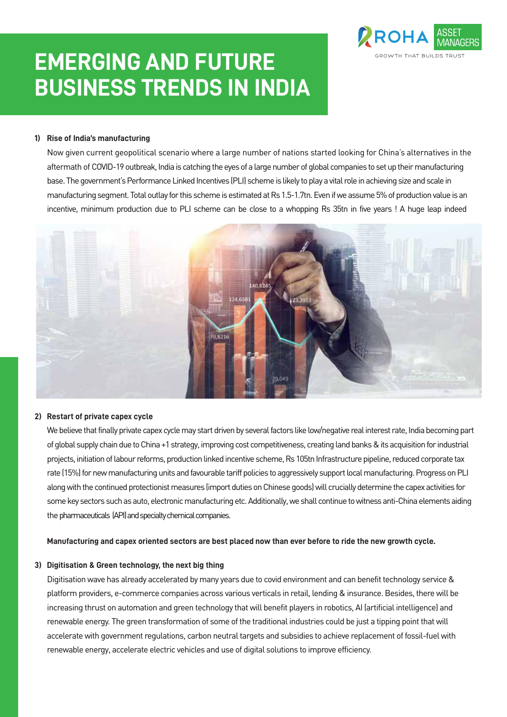# **EMERGING AND FUTURE BUSINESS TRENDS IN INDIA**



# **1) Rise of India's manufacturing**

 Now given current geopolitical scenario where a large number of nations started looking for China's alternatives in the aftermath of COVID-19 outbreak, India is catching the eyes of a large number of global companies to set up their manufacturing base. The government's Performance Linked Incentives (PLI) scheme is likely to play a vital role in achieving size and scale in manufacturing segment. Total outlay for this scheme is estimated at Rs 1.5-1.7tn. Even if we assume 5% of production value is an incentive, minimum production due to PLI scheme can be close to a whopping Rs 35tn in five years ! A huge leap indeed



#### **2) Restart of private capex cycle**

We believe that finally private capex cycle may start driven by several factors like low/negative real interest rate, India becoming part of global supply chain due to China +1 strategy, improving cost competitiveness, creating land banks & its acquisition for industrial projects, initiation of labour reforms, production linked incentive scheme, Rs 105tn Infrastructure pipeline, reduced corporate tax rate (15%) for new manufacturing units and favourable tariff policies to aggressively support local manufacturing. Progress on PLI along with the continued protectionist measures (import duties on Chinese goods) will crucially determine the capex activities for some key sectors such as auto, electronic manufacturing etc. Additionally, we shall continue to witness anti-China elements aiding the pharmaceuticals (API) and specialty chemical companies.

#### **Manufacturing and capex oriented sectors are best placed now than ever before to ride the new growth cycle.**

### **3) Digitisation & Green technology, the next big thing**

 Digitisation wave has already accelerated by many years due to covid environment and can benefit technology service & platform providers, e-commerce companies across various verticals in retail, lending & insurance. Besides, there will be increasing thrust on automation and green technology that will benefit players in robotics, AI (artificial intelligence) and renewable energy. The green transformation of some of the traditional industries could be just a tipping point that will accelerate with government regulations, carbon neutral targets and subsidies to achieve replacement of fossil-fuel with renewable energy, accelerate electric vehicles and use of digital solutions to improve efficiency.